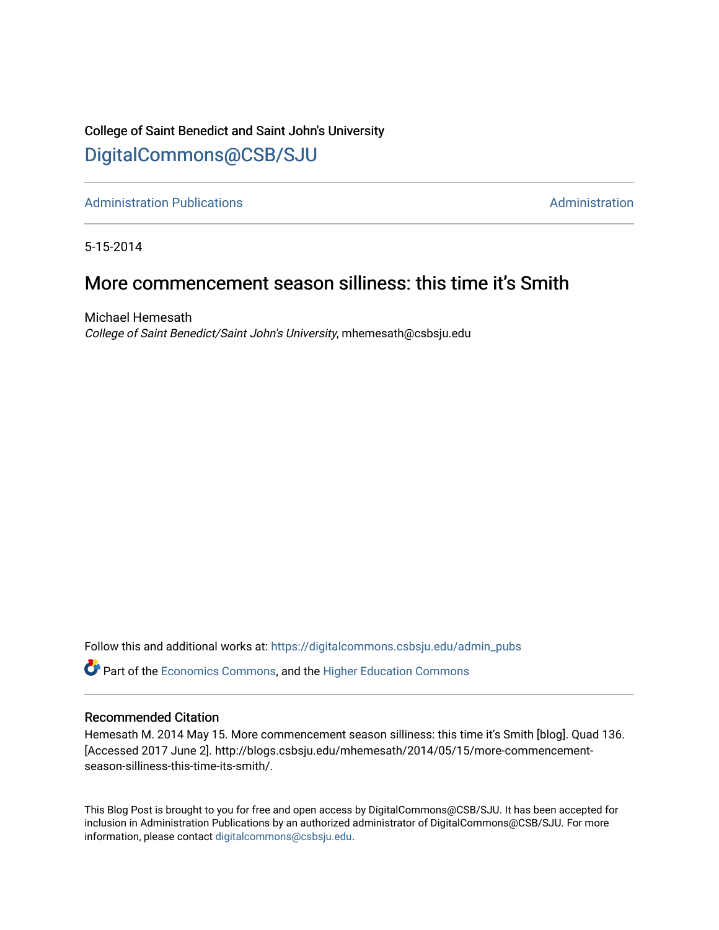## College of Saint Benedict and Saint John's University [DigitalCommons@CSB/SJU](https://digitalcommons.csbsju.edu/)

[Administration Publications](https://digitalcommons.csbsju.edu/admin_pubs) **Administration** Administration

5-15-2014

# More commencement season silliness: this time it's Smith

Michael Hemesath College of Saint Benedict/Saint John's University, mhemesath@csbsju.edu

Follow this and additional works at: [https://digitalcommons.csbsju.edu/admin\\_pubs](https://digitalcommons.csbsju.edu/admin_pubs?utm_source=digitalcommons.csbsju.edu%2Fadmin_pubs%2F85&utm_medium=PDF&utm_campaign=PDFCoverPages)

**P** Part of the [Economics Commons](http://network.bepress.com/hgg/discipline/340?utm_source=digitalcommons.csbsju.edu%2Fadmin_pubs%2F85&utm_medium=PDF&utm_campaign=PDFCoverPages), and the Higher Education Commons

#### Recommended Citation

Hemesath M. 2014 May 15. More commencement season silliness: this time it's Smith [blog]. Quad 136. [Accessed 2017 June 2]. http://blogs.csbsju.edu/mhemesath/2014/05/15/more-commencementseason-silliness-this-time-its-smith/.

This Blog Post is brought to you for free and open access by DigitalCommons@CSB/SJU. It has been accepted for inclusion in Administration Publications by an authorized administrator of DigitalCommons@CSB/SJU. For more information, please contact [digitalcommons@csbsju.edu.](mailto:digitalcommons@csbsju.edu)